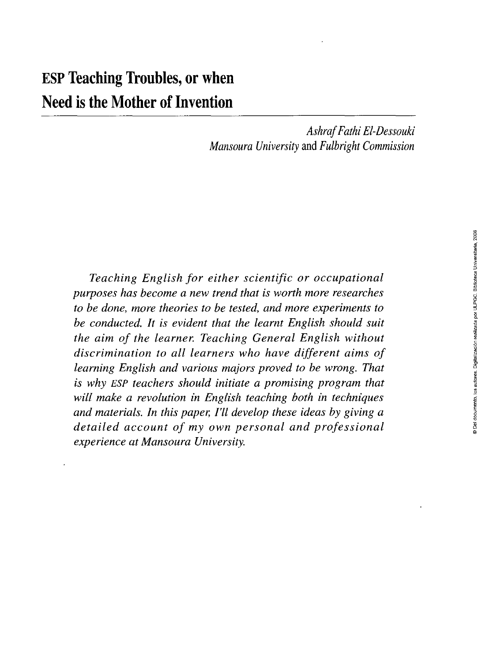*AshrafFathi El-Dessouki Mansoura University* and *Fulbright Commission* 

*Teaching English for either scientific or occupational purposes has become a new trend that is worth more researches to be done, more theories to be tested, and more experiments to be conducted. It is evident that the learnt English should suit the aim of the learner. Teaching General English without discrimination to all learners who have different aims of leaming English and various majors proved to be wrong. That is why ESP teachers should initiate a promising program that will make a revolution in English teaching both in techniques and materials. In this paper, FU develop these ideas by giving a detailed account of my own personal and professional experience at Mansoura University.*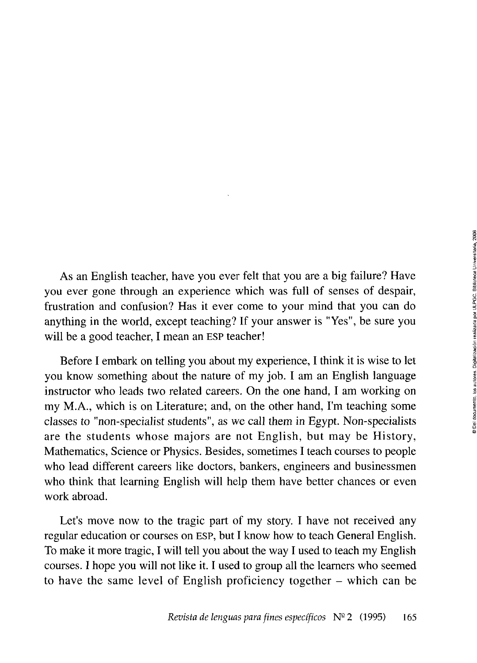As an English teacher, have you ever felt that you are a big failure? Have you ever gone through an experience which was full of senses of despair, frustration and confusión? Has it ever come to your mind that you can do anything in the world, except teaching? If your answer is "Yes", be sure you will be a good teacher, I mean an ESP teacher!

Before I embark on telling you about my experience, I think it is wise to let you know something about the nature of my job. I am an English language instructor who leads two related careers. On the one hand, I am working on my M.A., which is on Literature; and, on the other hand, I'm teaching some classes to "non-specialist students", as we cali them in Egypt. Non-specialists are the students whose majors are not English, but may be History, Mathematics, Science or Physics. Besides, sometimes I teach courses to people who lead different careers like doctors, bankers, engineers and businessmen who think that leaming English will help them have better chances or even work abroad.

Let's move now to the tragic part of my story. I have not received any regular education or courses on ESP, but I know how to teach General English. To make it more tragic, I will tell you about the way I used to teach my English courses. I hope you will not like it. I used to group all the leamers who seemed to have the same level of English proficiency together - which can be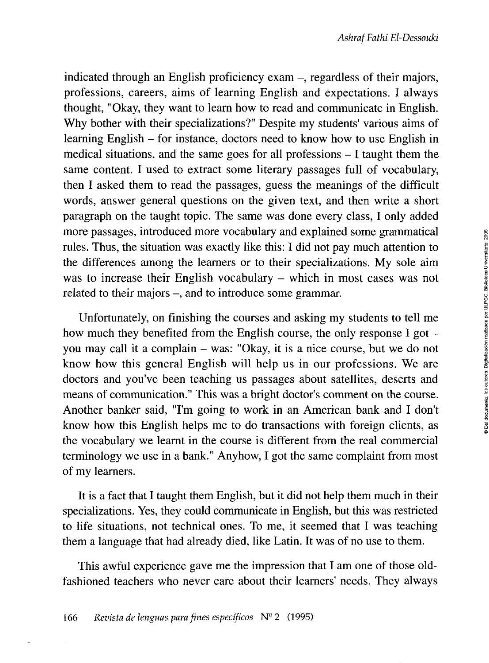indicated through an English proficiency exam –, regardless of their majors, professions, careers, aims of learning English and expectations. I always thought, "Okay, they want to leam how to read and communicate in English. Why bother with their specializations?" Despite my students' various aims of learning English – for instance, doctors need to know how to use English in medical situations, and the same goes for all professions - I taught them the same content. I used to extract some literary passages full of vocabulary, then I asked them to read the passages, guess the meanings of the difficult words, answer general questions on the given text, and then write a short paragraph on the taught topic. The same was done every class, I only added more passages, introduced more vocabulary and explained some grammatical rules. Thus, the situation was exactly like this: I did not pay much attention to the differences among the learners or to their specializations. My solé aim was to increase their English vocabulary – which in most cases was not related to their majors -, and to introduce some grammar.

Unfortunately, on finishing the courses and asking my students to tell me how much they benefited from the English course, the only response I got you may cali it a complain - was: "Okay, it is a nice course, but we do not know how this general English will help us in our professions. We are doctors and you've been teaching us passages about satellites, deserts and means of communication." This was a bright doctor's comment on the course. Another banker said, "I'm going to work in an American bank and I don't know how this English helps me to do transactions with foreign clients, as the vocabulary we leamt in the course is different from the real commercial terminology we use in a bank." Anyhow, I got the same complaint from most of my learners.

It is a fact that I taught them English, but it did not help them much in their specializations. Yes, they could communicate in English, but this was restricted to life situations, not technical ones. To me, it seemed that I was teaching them a language that had already died, like Latin. It was of no use to them.

This awful experience gave me the impression that I am one of those oldfashioned teachers who never care about their learners' needs. They always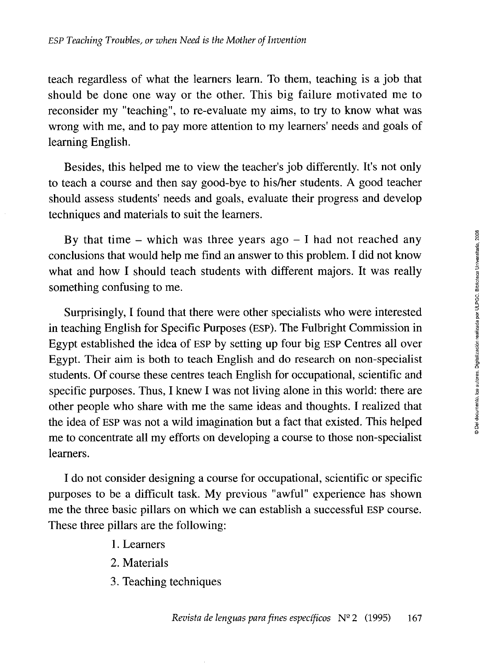teach regardless of what the leamers leam. To them, teaching is a job that should be done one way or the other. This big failure motivated me to reconsider my "teaching", to re-evaluate my aims, to try to know what was wrong with me, and to pay more attention to my leamers' needs and goals of learning English.

Besides, this helped me to view the teacher's job differently. It's not only to teach a course and then say good-bye to his/her students. A good teacher should assess students' needs and goals, evaluate their progress and develop techniques and materials to suit the leamers.

By that time – which was three years ago  $-1$  had not reached any conclusions that would help me find an answer to this problem. I did not know what and how I should teach students with different majors. It was really something confusing to me.

Surprisingly, I found that there were other specialists who were interested in teaching English for Specific Purposes (ESP). The Fulbright Commission in Egypt established the idea of ESP by setting up four big ESP Centres all over Egypt. Their aim is both to teach English and do research on non-specialist students. Of course these centres teach English for occupational, scientific and specific purposes. Thus, I knew I was not living alone in this world: there are other people who share with me the same ideas and thoughts. I realized that the idea of ESP was not a wild imagination but a fact that existed. This helped me to concentrate all my efforts on developing a course to those non-specialist leamers.

I do not consider designing a course for occupational, scientific or specific purposes to be a difficult task. My previous "awful" experience has shown me the three basic pillars on which we can establish a successful ESP course. These three pillars are the following:

- 1. Leamers
- 2. Materials
- 3. Teaching techniques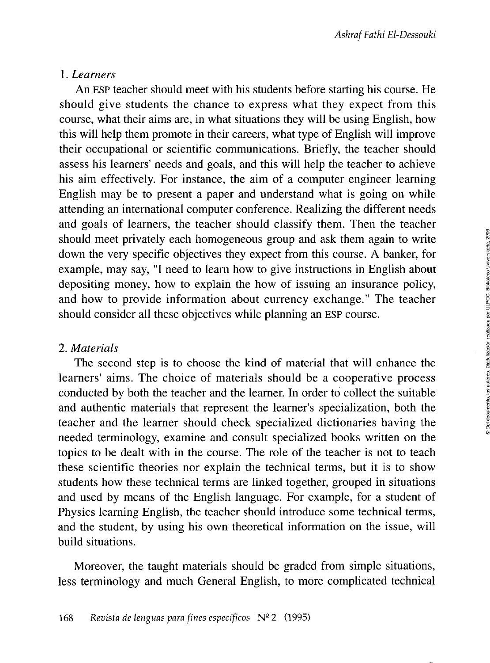## 1. *Learners*

An ESP teacher should meet with his students before starting his course. He should give students the chance to express what they expect from this course, what their aims are, in what situations they will be using English, how this will help them promote in their careers, what type of English will improve their occupational or scientific communications. Briefly, the teacher should assess his learners' needs and goals, and this will help the teacher to achieve his aim effectively. For instance, the aim of a computer engineer learning English may be to present a paper and understand what is going on while attending an international computer conference. Realizing the different needs and goals of learners, the teacher should classify them. Then the teacher should meet privately each homogeneous group and ask them again to write down the very specific objectives they expect from this course. A banker, for example, may say, "I need to learn how to give instructions in English about depositing money, how to explain the how of issuing an insurance policy, and how to provide information about currency exchange." The teacher should consider all these objectives while planning an ESP course.

## 2. *Materials*

The second step is to choose the kind of material that will enhance the learners' aims. The choice of materials should be a cooperative process conducted by both the teacher and the learner. In order to collect the suitable and authentic materials that represent the learner's specialization, both the teacher and the learner should check specialized dictionaries having the needed terminology, examine and consult specialized books written on the topics to be dealt with in the course. The role of the teacher is not to teach these scientific theories ñor explain the technical terms, but it is to show students how these technical terms are linked together, grouped in situations and used by means of the English language. For example, for a student of Physics learning English, the teacher should introduce some technical terms, and the student, by using his own theoretical information on the issue, will build situations.

Moreover, the taught materials should be graded from simple situations, less terminology and much General English, to more complicated technical